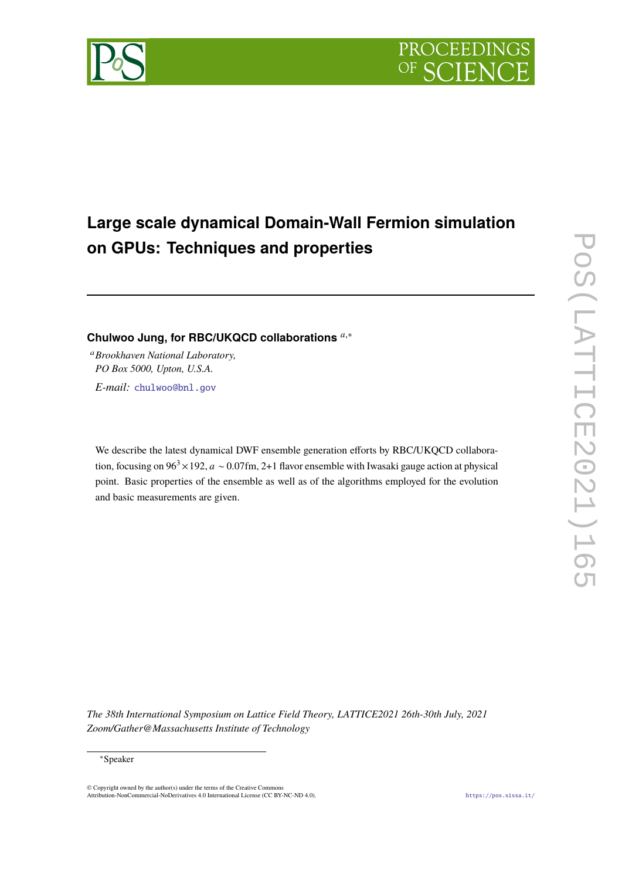

# **Large scale dynamical Domain-Wall Fermion simulation on GPUs: Techniques and properties**

# Chulwoo Jung, for RBC/UKQCD collaborations<sup>*a*,∗</sup>

<sup>𝑎</sup>*Brookhaven National Laboratory, PO Box 5000, Upton, U.S.A. E-mail:* [chulwoo@bnl.gov](mailto:chulwoo@bnl.gov)

We describe the latest dynamical DWF ensemble generation efforts by RBC/UKQCD collaboration, focusing on  $96^3 \times 192$ ,  $a \sim 0.07$ fm, 2+1 flavor ensemble with Iwasaki gauge action at physical point. Basic properties of the ensemble as well as of the algorithms employed for the evolution and basic measurements are given.

*The 38th International Symposium on Lattice Field Theory, LATTICE2021 26th-30th July, 2021 Zoom/Gather@Massachusetts Institute of Technology*

© Copyright owned by the author(s) under the terms of the Creative Commons Attribution-NonCommercial-NoDerivatives 4.0 International License (CC BY-NC-ND 4.0). <https://pos.sissa.it/>

<sup>∗</sup>Speaker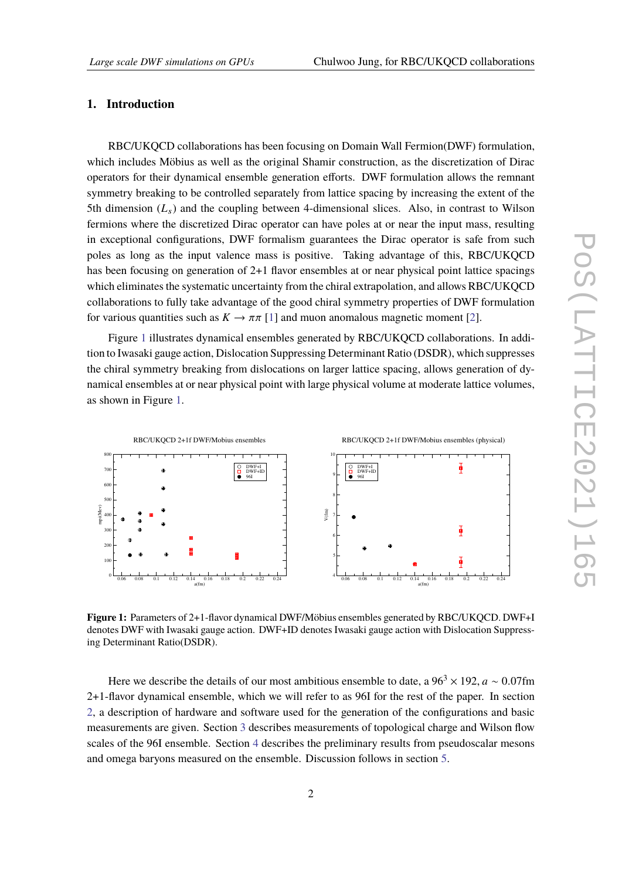## **1. Introduction**

RBC/UKQCD collaborations has been focusing on Domain Wall Fermion(DWF) formulation, which includes Möbius as well as the original Shamir construction, as the discretization of Dirac operators for their dynamical ensemble generation efforts. DWF formulation allows the remnant symmetry breaking to be controlled separately from lattice spacing by increasing the extent of the 5th dimension  $(L_s)$  and the coupling between 4-dimensional slices. Also, in contrast to Wilson fermions where the discretized Dirac operator can have poles at or near the input mass, resulting in exceptional configurations, DWF formalism guarantees the Dirac operator is safe from such poles as long as the input valence mass is positive. Taking advantage of this, RBC/UKQCD has been focusing on generation of 2+1 flavor ensembles at or near physical point lattice spacings which eliminates the systematic uncertainty from the chiral extrapolation, and allows RBC/UKQCD collaborations to fully take advantage of the good chiral symmetry properties of DWF formulation for various quantities such as  $K \to \pi \pi$  [\[1\]](#page-8-0) and muon anomalous magnetic moment [\[2\]](#page-8-1).

Figure [1](#page-1-0) illustrates dynamical ensembles generated by RBC/UKQCD collaborations. In addition to Iwasaki gauge action, Dislocation Suppressing Determinant Ratio (DSDR), which suppresses the chiral symmetry breaking from dislocations on larger lattice spacing, allows generation of dynamical ensembles at or near physical point with large physical volume at moderate lattice volumes, as shown in Figure [1.](#page-1-0)

<span id="page-1-0"></span>

**Figure 1:** Parameters of 2+1-flavor dynamical DWF/Möbius ensembles generated by RBC/UKQCD. DWF+I denotes DWF with Iwasaki gauge action. DWF+ID denotes Iwasaki gauge action with Dislocation Suppressing Determinant Ratio(DSDR).

Here we describe the details of our most ambitious ensemble to date, a  $96<sup>3</sup> \times 192$ ,  $a \sim 0.07$ fm 2+1-flavor dynamical ensemble, which we will refer to as 96I for the rest of the paper. In section [2,](#page-2-0) a description of hardware and software used for the generation of the configurations and basic measurements are given. Section [3](#page-4-0) describes measurements of topological charge and Wilson flow scales of the 96I ensemble. Section [4](#page-4-1) describes the preliminary results from pseudoscalar mesons and omega baryons measured on the ensemble. Discussion follows in section [5.](#page-6-0)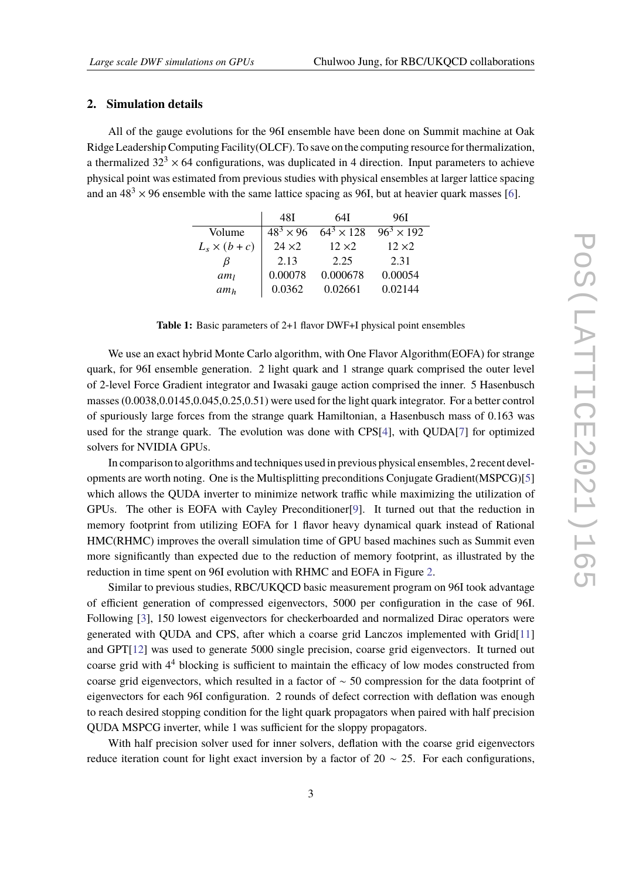## <span id="page-2-0"></span>**2. Simulation details**

All of the gauge evolutions for the 96I ensemble have been done on Summit machine at Oak Ridge Leadership Computing Facility(OLCF). To save on the computing resource for thermalization, a thermalized  $32<sup>3</sup> \times 64$  configurations, was duplicated in 4 direction. Input parameters to achieve physical point was estimated from previous studies with physical ensembles at larger lattice spacing and an  $48<sup>3</sup> \times 96$  ensemble with the same lattice spacing as 96I, but at heavier quark masses [\[6\]](#page-8-2).

|                    | 48I                | 64I               | 96I               |
|--------------------|--------------------|-------------------|-------------------|
| Volume             | $48^{3} \times 96$ | $64^3 \times 128$ | $96^3 \times 192$ |
| $L_s \times (b+c)$ | $24 \times 2$      | $12 \times 2$     | $12 \times 2$     |
| B                  | 2.13               | 2.25              | 2.31              |
| $am_l$             | 0.00078            | 0.000678          | 0.00054           |
| am <sub>h</sub>    | 0.0362             | 0.02661           | 0.02144           |

**Table 1:** Basic parameters of 2+1 flavor DWF+I physical point ensembles

We use an exact hybrid Monte Carlo algorithm, with One Flavor Algorithm(EOFA) for strange quark, for 96I ensemble generation. 2 light quark and 1 strange quark comprised the outer level of 2-level Force Gradient integrator and Iwasaki gauge action comprised the inner. 5 Hasenbusch masses (0.0038,0.0145,0.045,0.25,0.51) were used for the light quark integrator. For a better control of spuriously large forces from the strange quark Hamiltonian, a Hasenbusch mass of 0.163 was used for the strange quark. The evolution was done with CPS[\[4\]](#page-8-3), with QUDA[\[7\]](#page-8-4) for optimized solvers for NVIDIA GPUs.

In comparison to algorithms and techniques used in previous physical ensembles, 2 recent developments are worth noting. One is the Multisplitting preconditions Conjugate Gradient(MSPCG)[\[5\]](#page-8-5) which allows the QUDA inverter to minimize network traffic while maximizing the utilization of GPUs. The other is EOFA with Cayley Preconditioner[\[9\]](#page-8-6). It turned out that the reduction in memory footprint from utilizing EOFA for 1 flavor heavy dynamical quark instead of Rational HMC(RHMC) improves the overall simulation time of GPU based machines such as Summit even more significantly than expected due to the reduction of memory footprint, as illustrated by the reduction in time spent on 96I evolution with RHMC and EOFA in Figure [2.](#page-3-0)

Similar to previous studies, RBC/UKQCD basic measurement program on 96I took advantage of efficient generation of compressed eigenvectors, 5000 per configuration in the case of 96I. Following [\[3\]](#page-8-7), 150 lowest eigenvectors for checkerboarded and normalized Dirac operators were generated with QUDA and CPS, after which a coarse grid Lanczos implemented with Grid[\[11\]](#page-8-8) and GPT[\[12\]](#page-8-9) was used to generate 5000 single precision, coarse grid eigenvectors. It turned out coarse grid with 4<sup>4</sup> blocking is sufficient to maintain the efficacy of low modes constructed from coarse grid eigenvectors, which resulted in a factor of ∼ 50 compression for the data footprint of eigenvectors for each 96I configuration. 2 rounds of defect correction with deflation was enough to reach desired stopping condition for the light quark propagators when paired with half precision QUDA MSPCG inverter, while 1 was sufficient for the sloppy propagators.

With half precision solver used for inner solvers, deflation with the coarse grid eigenvectors reduce iteration count for light exact inversion by a factor of 20  $\sim$  25. For each configurations,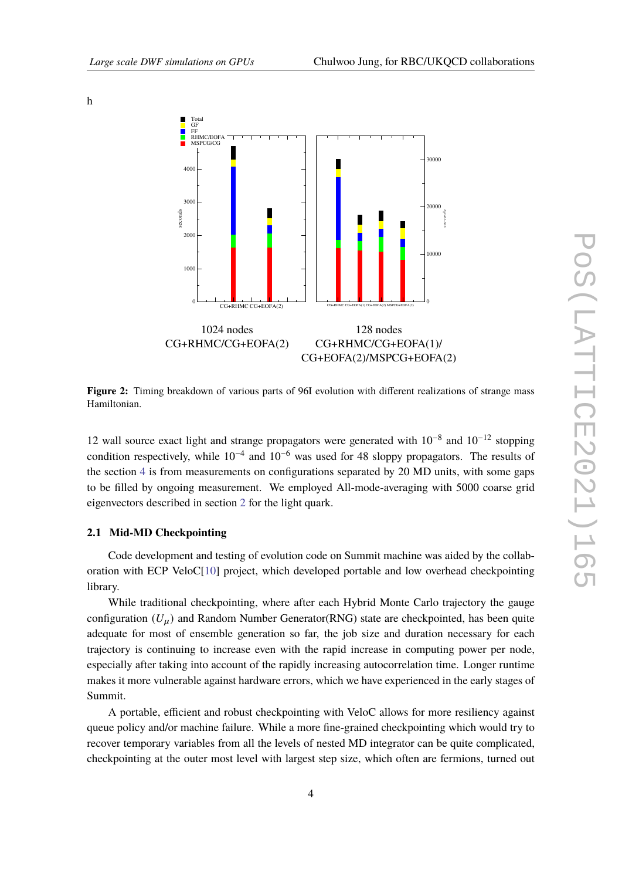

**Figure 2:** Timing breakdown of various parts of 96I evolution with different realizations of strange mass Hamiltonian.

12 wall source exact light and strange propagators were generated with 10<sup>-8</sup> and 10<sup>-12</sup> stopping condition respectively, while  $10^{-4}$  and  $10^{-6}$  was used for 48 sloppy propagators. The results of the section [4](#page-4-1) is from measurements on configurations separated by 20 MD units, with some gaps to be filled by ongoing measurement. We employed All-mode-averaging with 5000 coarse grid eigenvectors described in section [2](#page-2-0) for the light quark.

#### **2.1 Mid-MD Checkpointing**

Code development and testing of evolution code on Summit machine was aided by the collaboration with ECP VeloC[\[10\]](#page-8-10) project, which developed portable and low overhead checkpointing library.

While traditional checkpointing, where after each Hybrid Monte Carlo trajectory the gauge configuration  $(U_{\mu})$  and Random Number Generator(RNG) state are checkpointed, has been quite adequate for most of ensemble generation so far, the job size and duration necessary for each trajectory is continuing to increase even with the rapid increase in computing power per node, especially after taking into account of the rapidly increasing autocorrelation time. Longer runtime makes it more vulnerable against hardware errors, which we have experienced in the early stages of Summit.

A portable, efficient and robust checkpointing with VeloC allows for more resiliency against queue policy and/or machine failure. While a more fine-grained checkpointing which would try to recover temporary variables from all the levels of nested MD integrator can be quite complicated, checkpointing at the outer most level with largest step size, which often are fermions, turned out

<span id="page-3-0"></span>h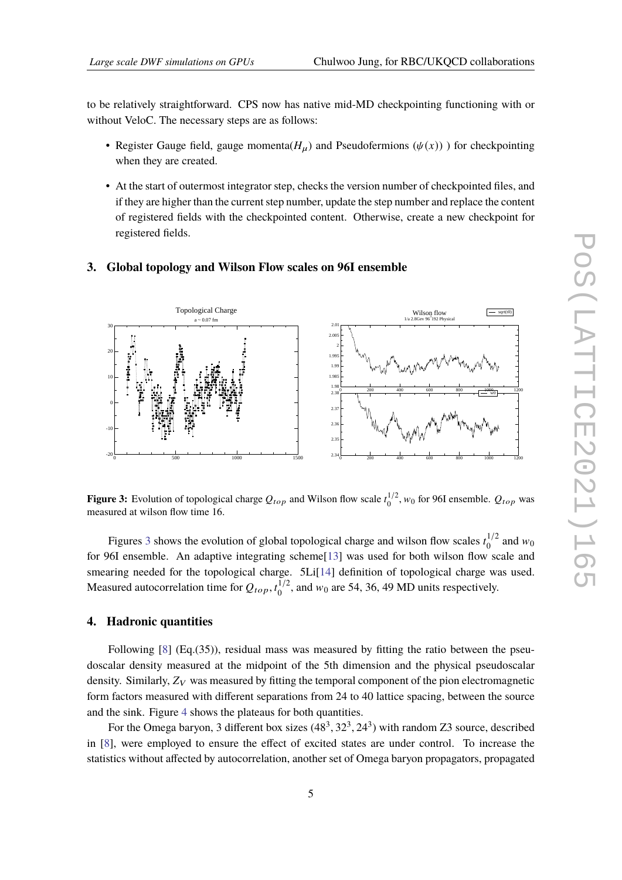to be relatively straightforward. CPS now has native mid-MD checkpointing functioning with or without VeloC. The necessary steps are as follows:

- Register Gauge field, gauge momenta( $H_u$ ) and Pseudofermions ( $\psi(x)$ )) for checkpointing when they are created.
- At the start of outermost integrator step, checks the version number of checkpointed files, and if they are higher than the current step number, update the step number and replace the content of registered fields with the checkpointed content. Otherwise, create a new checkpoint for registered fields.

# <span id="page-4-0"></span>**3. Global topology and Wilson Flow scales on 96I ensemble**

<span id="page-4-2"></span>

**Figure 3:** Evolution of topological charge  $Q_{top}$  and Wilson flow scale  $t_0^{1/2}$  $\frac{1}{2}$ ,  $w_0$  for 96I ensemble.  $Q_{top}$  was measured at wilson flow time 16.

Figures [3](#page-4-2) shows the evolution of global topological charge and wilson flow scales  $t_0^{1/2}$  $^{1/2}_{0}$  and  $w_0$ for 96I ensemble. An adaptive integrating scheme[\[13\]](#page-8-11) was used for both wilson flow scale and smearing needed for the topological charge. 5Li[\[14\]](#page-8-12) definition of topological charge was used. Measured autocorrelation time for  $Q_{top}$ ,  $t_0^{1/2}$ , and  $w_0$  are 54, 36, 49 MD units respectively.

# <span id="page-4-1"></span>**4. Hadronic quantities**

Following [\[8\]](#page-8-13) (Eq.(35)), residual mass was measured by fitting the ratio between the pseudoscalar density measured at the midpoint of the 5th dimension and the physical pseudoscalar density. Similarly,  $Z_V$  was measured by fitting the temporal component of the pion electromagnetic form factors measured with different separations from 24 to 40 lattice spacing, between the source and the sink. Figure [4](#page-5-0) shows the plateaus for both quantities.

For the Omega baryon, 3 different box sizes  $(48^3, 32^3, 24^3)$  with random Z3 source, described in [\[8\]](#page-8-13), were employed to ensure the effect of excited states are under control. To increase the statistics without affected by autocorrelation, another set of Omega baryon propagators, propagated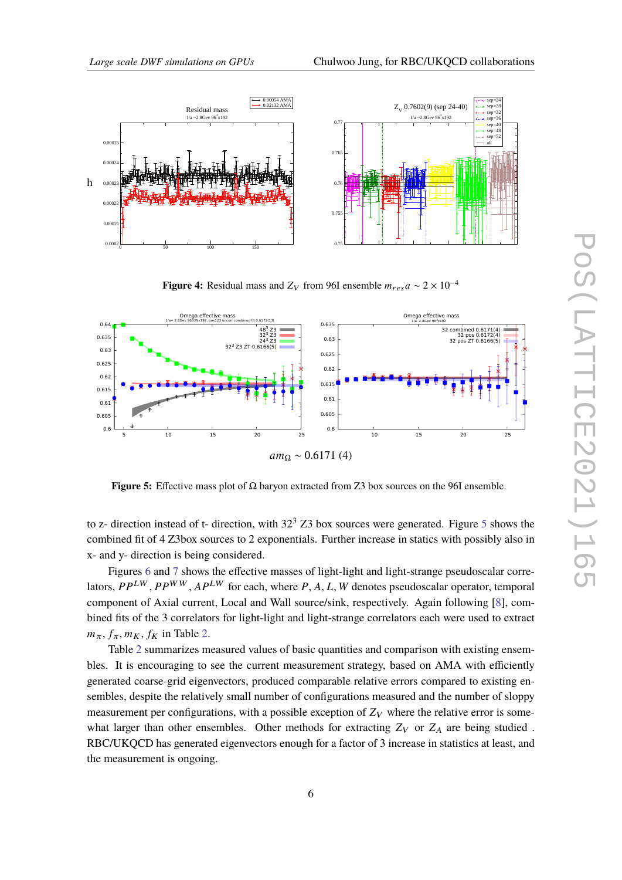<span id="page-5-0"></span>

**Figure 4:** Residual mass and  $Z_V$  from 96I ensemble  $m_{res}a \sim 2 \times 10^{-4}$ 

<span id="page-5-1"></span>

**Figure 5:** Effective mass plot of Ω baryon extracted from Z3 box sources on the 96I ensemble.

to z- direction instead of t- direction, with  $32<sup>3</sup>$  Z3 box sources were generated. Figure [5](#page-5-1) shows the combined fit of 4 Z3box sources to 2 exponentials. Further increase in statics with possibly also in x- and y- direction is being considered.

Figures [6](#page-6-1) and [7](#page-7-0) shows the effective masses of light-light and light-strange pseudoscalar correlators,  $PP^{LW}$ ,  $PP^{WW}$ ,  $AP^{LW}$  for each, where P, A, L, W denotes pseudoscalar operator, temporal component of Axial current, Local and Wall source/sink, respectively. Again following [\[8\]](#page-8-13), combined fits of the 3 correlators for light-light and light-strange correlators each were used to extract  $m_{\pi}$ ,  $f_{\pi}$ ,  $m_K$ ,  $f_K$  in Table [2.](#page-6-2)

Table [2](#page-6-2) summarizes measured values of basic quantities and comparison with existing ensembles. It is encouraging to see the current measurement strategy, based on AMA with efficiently generated coarse-grid eigenvectors, produced comparable relative errors compared to existing ensembles, despite the relatively small number of configurations measured and the number of sloppy measurement per configurations, with a possible exception of  $Z_V$  where the relative error is somewhat larger than other ensembles. Other methods for extracting  $Z_V$  or  $Z_A$  are being studied. RBC/UKQCD has generated eigenvectors enough for a factor of 3 increase in statistics at least, and the measurement is ongoing.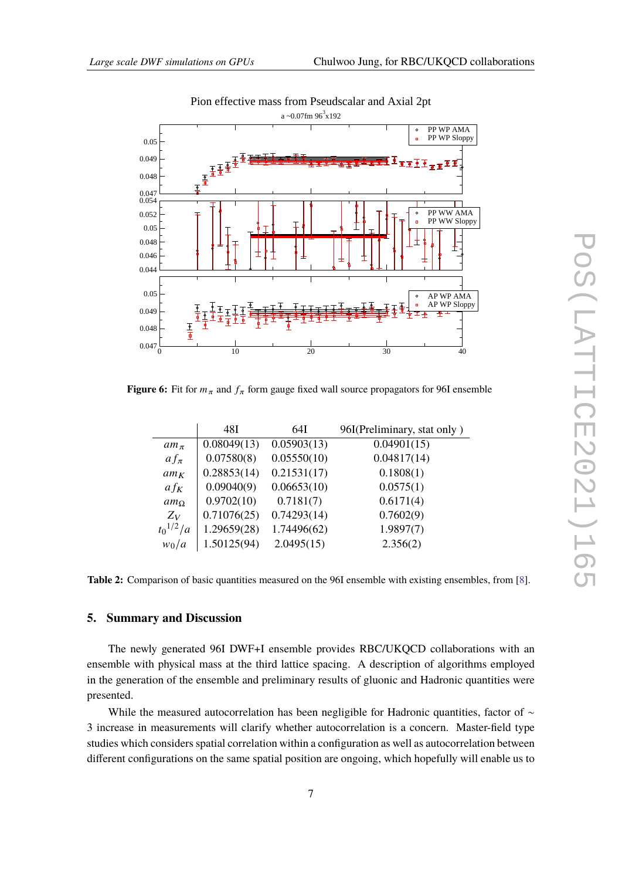<span id="page-6-1"></span>

# Pion effective mass from Pseudscalar and Axial 2pt

<span id="page-6-2"></span>**Figure 6:** Fit for  $m_{\pi}$  and  $f_{\pi}$  form gauge fixed wall source propagators for 96I ensemble

|                 | 48I         | 64I         | 96I(Preliminary, stat only) |
|-----------------|-------------|-------------|-----------------------------|
| $am_\pi$        | 0.08049(13) | 0.05903(13) | 0.04901(15)                 |
| $af_{\pi}$      | 0.07580(8)  | 0.05550(10) | 0.04817(14)                 |
| $am_K$          | 0.28853(14) | 0.21531(17) | 0.1808(1)                   |
| $af_K$          | 0.09040(9)  | 0.06653(10) | 0.0575(1)                   |
| am <sub>O</sub> | 0.9702(10)  | 0.7181(7)   | 0.6171(4)                   |
| $Z_V$           | 0.71076(25) | 0.74293(14) | 0.7602(9)                   |
| $t_0^{1/2}/a$   | 1.29659(28) | 1.74496(62) | 1.9897(7)                   |
| $w_0/a$         | 1.50125(94) | 2.0495(15)  | 2.356(2)                    |

**Table 2:** Comparison of basic quantities measured on the 96I ensemble with existing ensembles, from [\[8\]](#page-8-13).

# <span id="page-6-0"></span>**5. Summary and Discussion**

The newly generated 96I DWF+I ensemble provides RBC/UKQCD collaborations with an ensemble with physical mass at the third lattice spacing. A description of algorithms employed in the generation of the ensemble and preliminary results of gluonic and Hadronic quantities were presented.

While the measured autocorrelation has been negligible for Hadronic quantities, factor of ∼ 3 increase in measurements will clarify whether autocorrelation is a concern. Master-field type studies which considers spatial correlation within a configuration as well as autocorrelation between different configurations on the same spatial position are ongoing, which hopefully will enable us to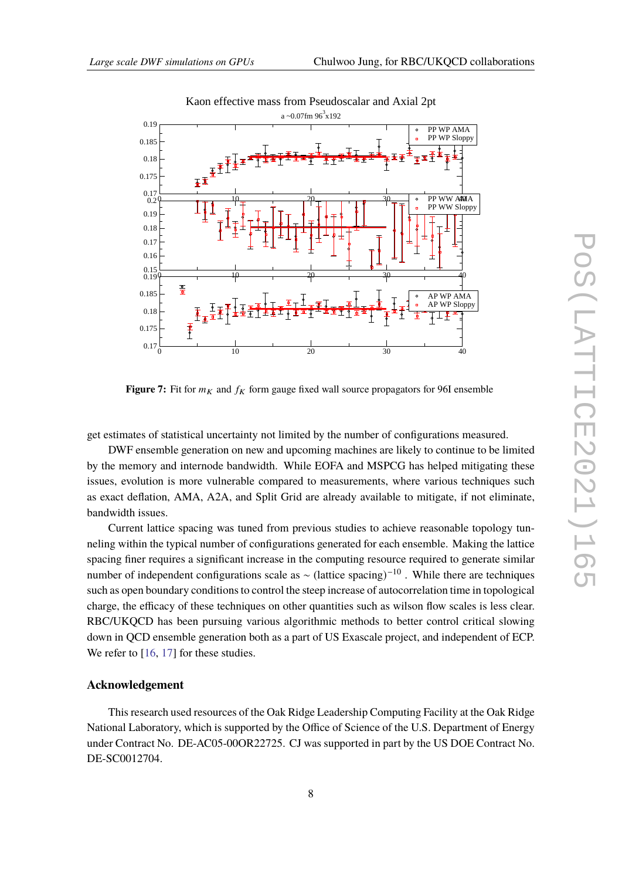<span id="page-7-0"></span>

**Figure 7:** Fit for  $m_K$  and  $f_K$  form gauge fixed wall source propagators for 96I ensemble

get estimates of statistical uncertainty not limited by the number of configurations measured.

DWF ensemble generation on new and upcoming machines are likely to continue to be limited by the memory and internode bandwidth. While EOFA and MSPCG has helped mitigating these issues, evolution is more vulnerable compared to measurements, where various techniques such as exact deflation, AMA, A2A, and Split Grid are already available to mitigate, if not eliminate, bandwidth issues.

Current lattice spacing was tuned from previous studies to achieve reasonable topology tunneling within the typical number of configurations generated for each ensemble. Making the lattice spacing finer requires a significant increase in the computing resource required to generate similar number of independent configurations scale as  $\sim$  (lattice spacing)<sup>-10</sup>. While there are techniques such as open boundary conditions to control the steep increase of autocorrelation time in topological charge, the efficacy of these techniques on other quantities such as wilson flow scales is less clear. RBC/UKQCD has been pursuing various algorithmic methods to better control critical slowing down in QCD ensemble generation both as a part of US Exascale project, and independent of ECP. We refer to [\[16,](#page-8-14) [17\]](#page-8-15) for these studies.

## **Acknowledgement**

This research used resources of the Oak Ridge Leadership Computing Facility at the Oak Ridge National Laboratory, which is supported by the Office of Science of the U.S. Department of Energy under Contract No. DE-AC05-00OR22725. CJ was supported in part by the US DOE Contract No. DE-SC0012704.